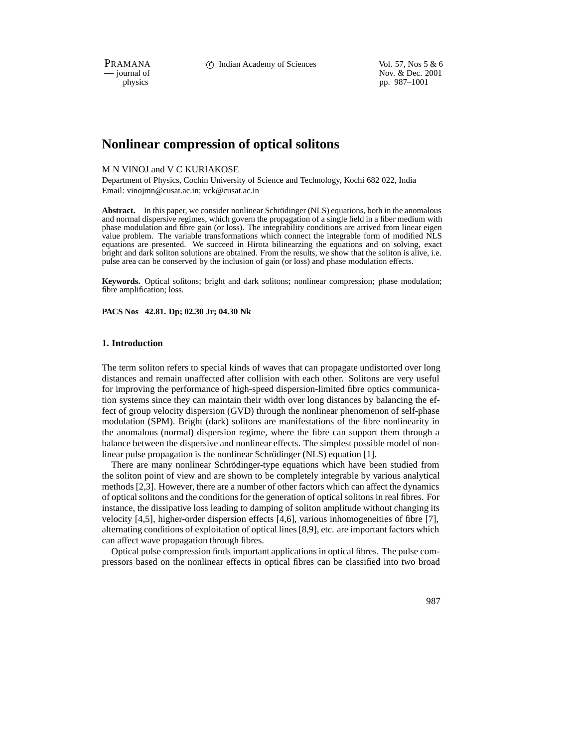PRAMANA 
c Indian Academy of Sciences Vol. 57, Nos 5 & 6<br>
iournal of Nov. & Dec. 2001 position of the interval of Nov. & Dec. 2001<br>
position by the position of the position of the position of the position of the position of the position of the position of the position of the position of the position of the pp. 987–1001

# **Nonlinear compression of optical solitons**

### M N VINOJ and V C KURIAKOSE

Department of Physics, Cochin University of Science and Technology, Kochi 682 022, India Email: vinojmn@cusat.ac.in; vck@cusat.ac.in

**Abstract.** In this paper, we consider nonlinear Schrödinger (NLS) equations, both in the anomalous and normal dispersive regimes, which govern the propagation of a single field in a fiber medium with phase modulation and fibre gain (or loss). The integrability conditions are arrived from linear eigen value problem. The variable transformations which connect the integrable form of modified NLS equations are presented. We succeed in Hirota bilinearzing the equations and on solving, exact bright and dark soliton solutions are obtained. From the results, we show that the soliton is alive, i.e. pulse area can be conserved by the inclusion of gain (or loss) and phase modulation effects.

**Keywords.** Optical solitons; bright and dark solitons; nonlinear compression; phase modulation; fibre amplification; loss.

**PACS Nos 42.81. Dp; 02.30 Jr; 04.30 Nk**

### **1. Introduction**

The term soliton refers to special kinds of waves that can propagate undistorted over long distances and remain unaffected after collision with each other. Solitons are very useful for improving the performance of high-speed dispersion-limited fibre optics communication systems since they can maintain their width over long distances by balancing the effect of group velocity dispersion (GVD) through the nonlinear phenomenon of self-phase modulation (SPM). Bright (dark) solitons are manifestations of the fibre nonlinearity in the anomalous (normal) dispersion regime, where the fibre can support them through a balance between the dispersive and nonlinear effects. The simplest possible model of nonlinear pulse propagation is the nonlinear Schrödinger (NLS) equation [1].

There are many nonlinear Schrödinger-type equations which have been studied from the soliton point of view and are shown to be completely integrable by various analytical methods [2,3]. However, there are a number of other factors which can affect the dynamics of optical solitons and the conditions for the generation of optical solitons in real fibres. For instance, the dissipative loss leading to damping of soliton amplitude without changing its velocity [4,5], higher-order dispersion effects [4,6], various inhomogeneities of fibre [7], alternating conditions of exploitation of optical lines [8,9], etc. are important factors which can affect wave propagation through fibres.

Optical pulse compression finds important applications in optical fibres. The pulse compressors based on the nonlinear effects in optical fibres can be classified into two broad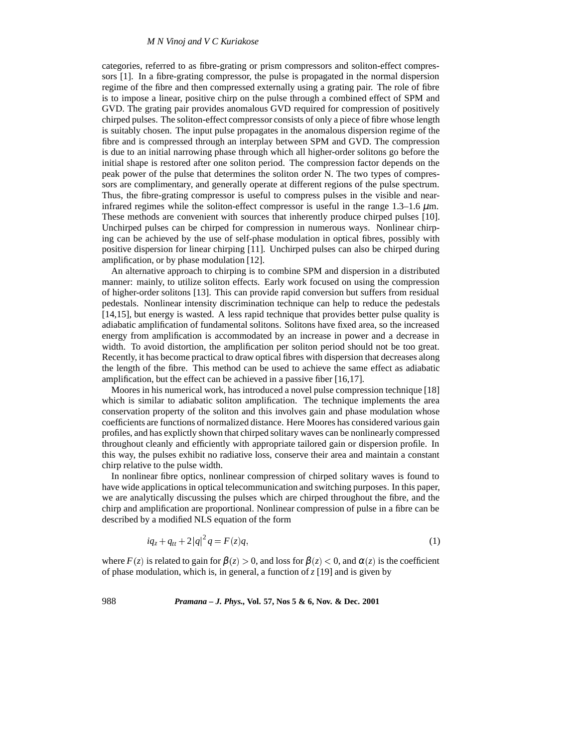### *M N Vinoj and V C Kuriakose*

categories, referred to as fibre-grating or prism compressors and soliton-effect compressors [1]. In a fibre-grating compressor, the pulse is propagated in the normal dispersion regime of the fibre and then compressed externally using a grating pair. The role of fibre is to impose a linear, positive chirp on the pulse through a combined effect of SPM and GVD. The grating pair provides anomalous GVD required for compression of positively chirped pulses. The soliton-effect compressor consists of only a piece of fibre whose length is suitably chosen. The input pulse propagates in the anomalous dispersion regime of the fibre and is compressed through an interplay between SPM and GVD. The compression is due to an initial narrowing phase through which all higher-order solitons go before the initial shape is restored after one soliton period. The compression factor depends on the peak power of the pulse that determines the soliton order N. The two types of compressors are complimentary, and generally operate at different regions of the pulse spectrum. Thus, the fibre-grating compressor is useful to compress pulses in the visible and nearinfrared regimes while the soliton-effect compressor is useful in the range  $1.3-1.6 \mu$ m. These methods are convenient with sources that inherently produce chirped pulses [10]. Unchirped pulses can be chirped for compression in numerous ways. Nonlinear chirping can be achieved by the use of self-phase modulation in optical fibres, possibly with positive dispersion for linear chirping [11]. Unchirped pulses can also be chirped during amplification, or by phase modulation [12].

An alternative approach to chirping is to combine SPM and dispersion in a distributed manner: mainly, to utilize soliton effects. Early work focused on using the compression of higher-order solitons [13]. This can provide rapid conversion but suffers from residual pedestals. Nonlinear intensity discrimination technique can help to reduce the pedestals [14,15], but energy is wasted. A less rapid technique that provides better pulse quality is adiabatic amplification of fundamental solitons. Solitons have fixed area, so the increased energy from amplification is accommodated by an increase in power and a decrease in width. To avoid distortion, the amplification per soliton period should not be too great. Recently, it has become practical to draw optical fibres with dispersion that decreases along the length of the fibre. This method can be used to achieve the same effect as adiabatic amplification, but the effect can be achieved in a passive fiber [16,17].

Moores in his numerical work, has introduced a novel pulse compression technique [18] which is similar to adiabatic soliton amplification. The technique implements the area conservation property of the soliton and this involves gain and phase modulation whose coefficients are functions of normalized distance. Here Moores has considered various gain profiles, and has explictly shown that chirped solitary waves can be nonlinearly compressed throughout cleanly and efficiently with appropriate tailored gain or dispersion profile. In this way, the pulses exhibit no radiative loss, conserve their area and maintain a constant chirp relative to the pulse width.

In nonlinear fibre optics, nonlinear compression of chirped solitary waves is found to have wide applications in optical telecommunication and switching purposes. In this paper, we are analytically discussing the pulses which are chirped throughout the fibre, and the chirp and amplification are proportional. Nonlinear compression of pulse in a fibre can be described by a modified NLS equation of the form

$$
iq_z + q_{tt} + 2|q|^2 q = F(z)q,
$$
\n(1)

where *F* (*z*) is related to gain for  $\beta(z) > 0$ , and loss for  $\beta(z) < 0$ , and  $\alpha(z)$  is the coefficient of phase modulation, which is, in general, a function of  $\zeta$  [19] and is given by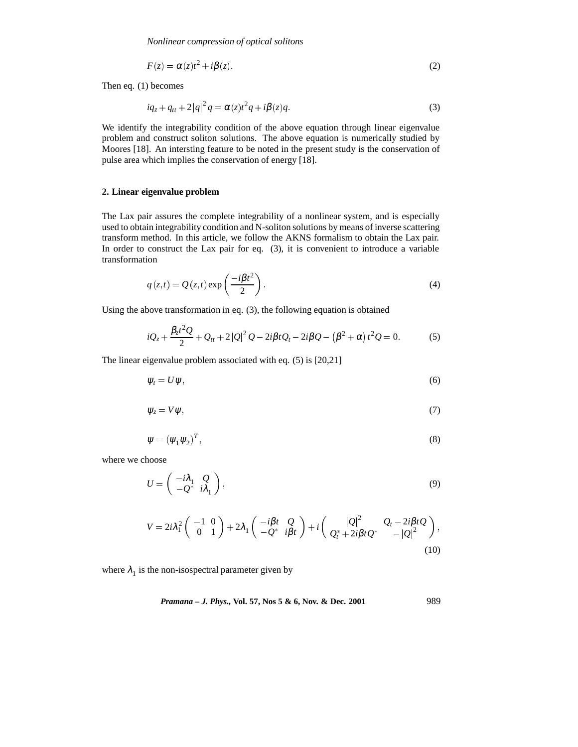$$
F(z) = \alpha(z)t^2 + i\beta(z). \tag{2}
$$

Then eq. (1) becomes

$$
iq_{z} + q_{tt} + 2|q|^{2} q = \alpha(z)t^{2}q + i\beta(z)q.
$$
 (3)

We identify the integrability condition of the above equation through linear eigenvalue problem and construct soliton solutions. The above equation is numerically studied by Moores [18]. An intersting feature to be noted in the present study is the conservation of pulse area which implies the conservation of energy [18].

# **2. Linear eigenvalue problem**

The Lax pair assures the complete integrability of a nonlinear system, and is especially used to obtain integrability condition and N-soliton solutions by means of inverse scattering transform method. In this article, we follow the AKNS formalism to obtain the Lax pair. In order to construct the Lax pair for eq. (3), it is convenient to introduce a variable transformation

$$
q(z,t) = Q(z,t) \exp\left(\frac{-i\beta t^2}{2}\right).
$$
\n(4)

Using the above transformation in eq. (3), the following equation is obtained

$$
iQ_z + \frac{\beta_z t^2 Q}{2} + Q_{tt} + 2|Q|^2 Q - 2i\beta t Q_t - 2i\beta Q - (\beta^2 + \alpha) t^2 Q = 0.
$$
 (5)

The linear eigenvalue problem associated with eq. (5) is [20,21]

$$
\psi_t = U \psi, \tag{6}
$$

$$
\psi_z = V \psi, \tag{7}
$$

$$
\psi = (\psi_1 \psi_2)^T,\tag{8}
$$

where we choose

$$
U = \begin{pmatrix} -i\lambda_1 & Q \\ -Q^* & i\lambda_1 \end{pmatrix},\tag{9}
$$

$$
V = 2i\lambda_1^2 \begin{pmatrix} -1 & 0 \\ 0 & 1 \end{pmatrix} + 2\lambda_1 \begin{pmatrix} -i\beta t & Q \\ -Q^* & i\beta t \end{pmatrix} + i \begin{pmatrix} |Q|^2 & Q_t - 2i\beta tQ \\ Q_t^* + 2i\beta tQ^* & -|Q|^2 \end{pmatrix},
$$
\n(10)

where  $\lambda_1$  is the non-isospectral parameter given by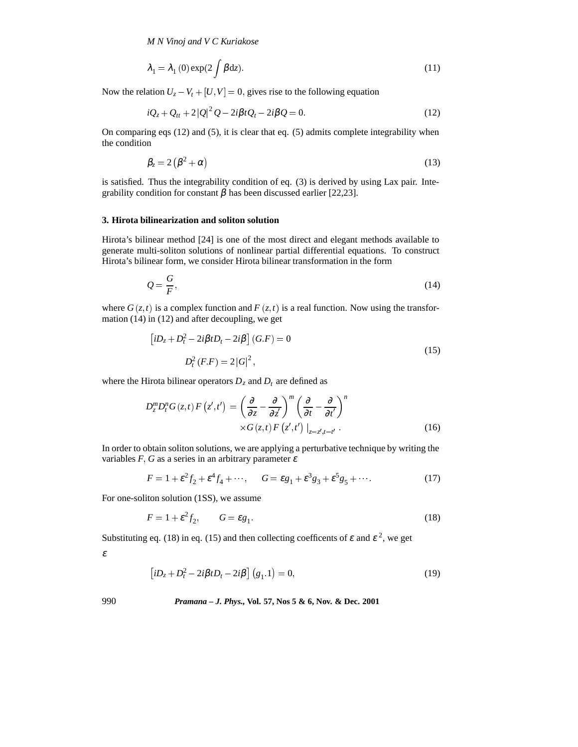*M N Vinoj and V C Kuriakose*

$$
\lambda_1 = \lambda_1(0) \exp(2 \int \beta dz). \tag{11}
$$

Now the relation  $U_z - V_t + [U, V] = 0$ , gives rise to the following equation

$$
iQ_z + Q_{tt} + 2|Q|^2 Q - 2i\beta t Q_t - 2i\beta Q = 0.
$$
\n(12)

On comparing eqs (12) and (5), it is clear that eq. (5) admits complete integrability when the condition

$$
\beta_z = 2\left(\beta^2 + \alpha\right) \tag{13}
$$

is satisfied. Thus the integrability condition of eq. (3) is derived by using Lax pair. Integrability condition for constant  $\beta$  has been discussed earlier [22,23].

### **3. Hirota bilinearization and soliton solution**

Hirota's bilinear method [24] is one of the most direct and elegant methods available to generate multi-soliton solutions of nonlinear partial differential equations. To construct Hirota's bilinear form, we consider Hirota bilinear transformation in the form

$$
Q = \frac{G}{F},\tag{14}
$$

where  $G(z, t)$  is a complex function and  $F(z, t)$  is a real function. Now using the transformation (14) in (12) and after decoupling, we get

$$
\left[iD_z + D_t^2 - 2i\beta t D_t - 2i\beta\right](G.F) = 0
$$
  

$$
D_t^2(F.F) = 2|G|^2,
$$
 (15)

where the Hirota bilinear operators  $D_z$  and  $D_t$  are defined as

$$
D_z^m D_t^n G(z, t) F(z', t') = \left(\frac{\partial}{\partial z} - \frac{\partial}{\partial z'}\right)^m \left(\frac{\partial}{\partial t} - \frac{\partial}{\partial t'}\right)^n
$$
  
 
$$
\times G(z, t) F(z', t') \Big|_{z = z', t = t'}.
$$
 (16)

In order to obtain soliton solutions, we are applying a perturbative technique by writing the variables  $F$ ,  $G$  as a series in an arbitrary parameter  $\varepsilon$ 

$$
F = 1 + \varepsilon^2 f_2 + \varepsilon^4 f_4 + \cdots, \qquad G = \varepsilon g_1 + \varepsilon^3 g_3 + \varepsilon^5 g_5 + \cdots \tag{17}
$$

For one-soliton solution (1SS), we assume

$$
F = 1 + \varepsilon^2 f_2, \qquad G = \varepsilon g_1. \tag{18}
$$

Substituting eq. (18) in eq. (15) and then collecting coefficents of  $\varepsilon$  and  $\varepsilon^2$ , we get

ε

$$
\left[iD_z + D_t^2 - 2i\beta t D_t - 2i\beta\right](g_1 \cdot 1) = 0,\tag{19}
$$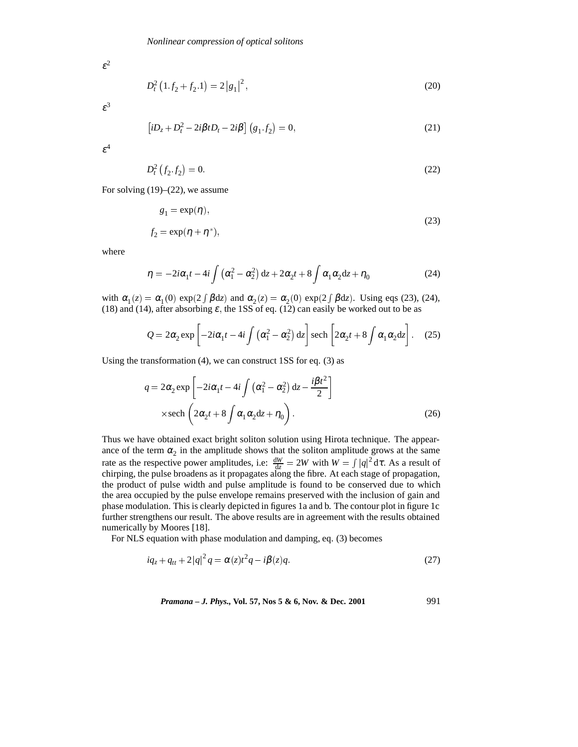$\varepsilon^2$ 

$$
D_t^2 \left( 1.f_2 + f_2.1 \right) = 2 \left| g_1 \right|^2,\tag{20}
$$

 $\varepsilon^3$ 

$$
[iD_z + D_t^2 - 2i\beta t D_t - 2i\beta] (g_1.f_2) = 0,
$$
\n(21)

 $\varepsilon^4$ 

$$
D_t^2\left(f_2 \cdot f_2\right) = 0. \tag{22}
$$

For solving (19)–(22), we assume

$$
g_1 = \exp(\eta),
$$
  
\n
$$
f_2 = \exp(\eta + \eta^*),
$$
\n(23)

where

$$
\eta = -2i\alpha_1 t - 4i \int \left(\alpha_1^2 - \alpha_2^2\right) dz + 2\alpha_2 t + 8 \int \alpha_1 \alpha_2 dz + \eta_0 \tag{24}
$$

with  $\alpha_1(z) = \alpha_1(0) \exp(2 \int \beta dz)$  and  $\alpha_2(z) = \alpha_2(0) \exp(2 \int \beta dz)$ . Using eqs (23), (24), (18) and (14), after absorbing  $\varepsilon$ , the 1SS of eq. (12) can easily be worked out to be as

$$
Q = 2\alpha_2 \exp\left[-2i\alpha_1 t - 4i \int \left(\alpha_1^2 - \alpha_2^2\right) dz\right] \operatorname{sech}\left[2\alpha_2 t + 8 \int \alpha_1 \alpha_2 dz\right].
$$
 (25)

Using the transformation (4), we can construct 1SS for eq. (3) as

$$
q = 2\alpha_2 \exp\left[-2i\alpha_1 t - 4i \int \left(\alpha_1^2 - \alpha_2^2\right) dz - \frac{i\beta t^2}{2}\right]
$$
  
× sech  $\left(2\alpha_2 t + 8 \int \alpha_1 \alpha_2 dz + \eta_0\right)$ . (26)

Thus we have obtained exact bright soliton solution using Hirota technique. The appearance of the term  $\alpha_2$  in the amplitude shows that the soliton amplitude grows at the same rate as the respective power amplitudes, i.e:  $\frac{dW}{dz} = 2W$  with  $W = \int |q|^2 d\tau$ . As a result of chirping, the pulse broadens as it propagates along the fibre. At each stage of propagation, the product of pulse width and pulse amplitude is found to be conserved due to which the area occupied by the pulse envelope remains preserved with the inclusion of gain and phase modulation. This is clearly depicted in figures 1a and b. The contour plot in figure 1c further strengthens our result. The above results are in agreement with the results obtained numerically by Moores [18].

For NLS equation with phase modulation and damping, eq. (3) becomes

$$
iq_{z} + q_{tt} + 2|q|^{2} q = \alpha(z)t^{2} q - i\beta(z) q.
$$
 (27)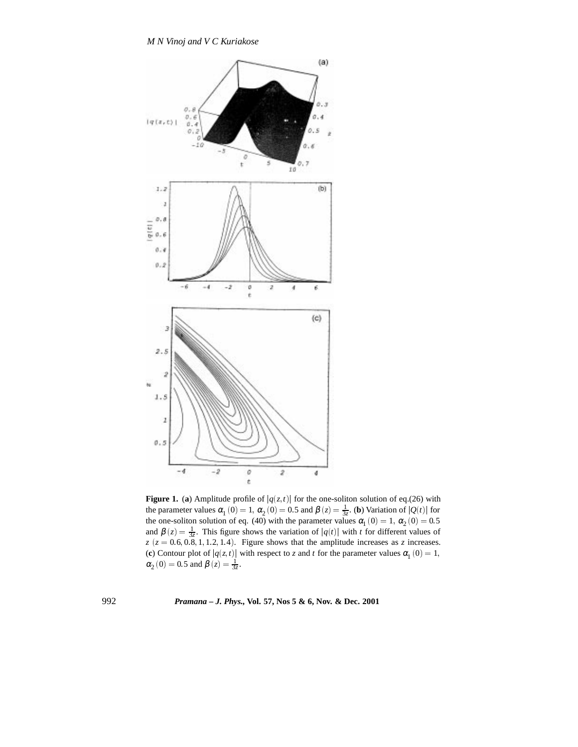

**Figure 1.** (a) Amplitude profile of  $|q(z,t)|$  for the one-soliton solution of eq.(26) with the parameter values  $\alpha_1(0) = 1$ ,  $\alpha_2(0) = 0.5$  and  $\beta(z) = \frac{1}{3z}$ . (**b**) Variation of  $|Q(t)|$  for the one-soliton solution of eq. (40) with the parameter values  $\alpha_1$  (0) = 1,  $\alpha_2$  (0) = 0.5 and  $\beta(z) = \frac{1}{3z}$ . This figure shows the variation of  $|q(t)|$  with *t* for different values of  $z$  ( $z = 0.6, 0.8, 1, 1.2, 1.4$ ). Figure shows that the amplitude increases as *z* increases. (**c**) Contour plot of  $|q(z,t)|$  with respect to *z* and *t* for the parameter values  $\alpha_1(0) = 1$ ,  $\alpha_2(0) = 0.5$  and  $\beta(z) = \frac{1}{3z}$ .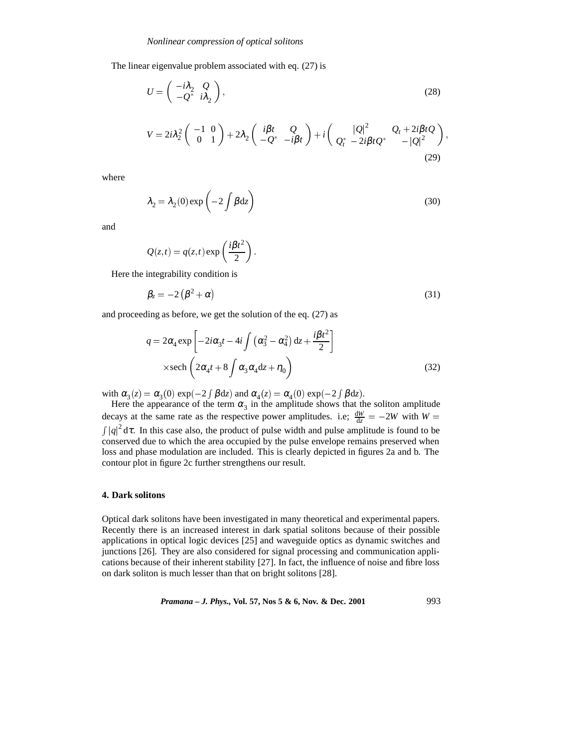The linear eigenvalue problem associated with eq. (27) is

$$
U = \begin{pmatrix} -i\lambda_2 & Q \\ -Q^* & i\lambda_2 \end{pmatrix},\tag{28}
$$

$$
V = 2i\lambda_2^2 \begin{pmatrix} -1 & 0 \\ 0 & 1 \end{pmatrix} + 2\lambda_2 \begin{pmatrix} i\beta t & Q \\ -Q^* & -i\beta t \end{pmatrix} + i \begin{pmatrix} |Q|^2 & Q_t + 2i\beta t Q \\ Q_t^* & -2i\beta t Q^* & -|Q|^2 \end{pmatrix},
$$
\n(29)

;

where

$$
\lambda_2 = \lambda_2(0) \exp\left(-2 \int \beta dz\right) \tag{30}
$$

and

$$
Q(z,t) = q(z,t) \exp\left(\frac{i\beta t^2}{2}\right).
$$

Here the integrability condition is

$$
\beta_z = -2\left(\beta^2 + \alpha\right) \tag{31}
$$

and proceeding as before, we get the solution of the eq. (27) as

$$
q = 2\alpha_4 \exp\left[-2i\alpha_3 t - 4i \int \left(\alpha_3^2 - \alpha_4^2\right) dz + \frac{i\beta t^2}{2}\right]
$$
  
 
$$
\times \text{sech}\left(2\alpha_4 t + 8 \int \alpha_3 \alpha_4 dz + \eta_0\right)
$$
 (32)

with  $\alpha_3(z) = \alpha_3(0) \exp(-2 \int \beta dz)$  and  $\alpha_4(z) = \alpha_4(0) \exp(-2 \int \beta dz)$ .

Here the appearance of the term  $\alpha_3$  in the amplitude shows that the soliton amplitude decays at the same rate as the respective power amplitudes. i.e;  $\frac{dW}{dz} = -2W$  with  $W =$  $\int |q|^2 d\tau$ . In this case also, the product of pulse width and pulse amplitude is found to be conserved due to which the area occupied by the pulse envelope remains preserved when loss and phase modulation are included. This is clearly depicted in figures 2a and b. The contour plot in figure 2c further strengthens our result.

### **4. Dark solitons**

Optical dark solitons have been investigated in many theoretical and experimental papers. Recently there is an increased interest in dark spatial solitons because of their possible applications in optical logic devices [25] and waveguide optics as dynamic switches and junctions [26]. They are also considered for signal processing and communication applications because of their inherent stability [27]. In fact, the influence of noise and fibre loss on dark soliton is much lesser than that on bright solitons [28].

*Pramana – J. Phys.,* **Vol. 57, Nos 5 & 6, Nov. & Dec. 2001** 993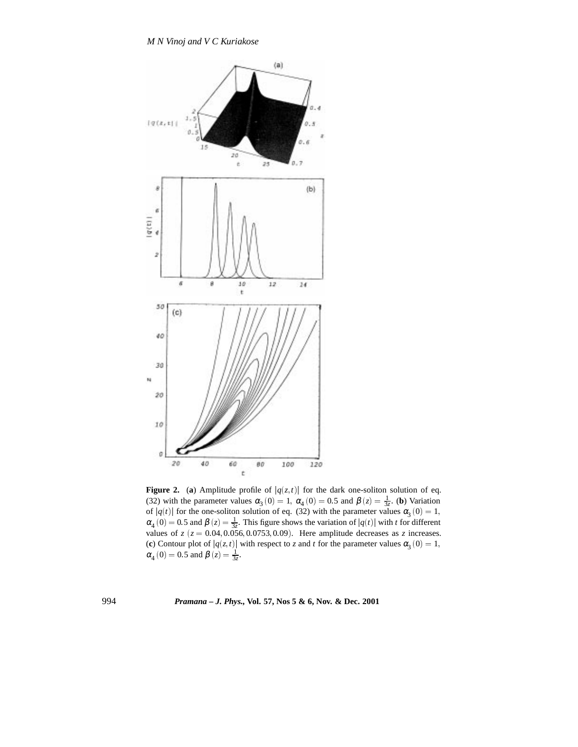

**Figure 2.** (a) Amplitude profile of  $|q(z,t)|$  for the dark one-soliton solution of eq. (32) with the parameter values  $\alpha_3(0) = 1$ ,  $\alpha_4(0) = 0.5$  and  $\beta(z) = \frac{1}{3z}$ . (**b**) Variation of  $|q(t)|$  for the one-soliton solution of eq. (32) with the parameter values  $\alpha_3(0) = 1$ ,  $\alpha_4(0) = 0.5$  and  $\beta(z) = \frac{1}{3z}$ . This figure shows the variation of  $|q(t)|$  with *t* for different values of  $z$  ( $z = 0.04, 0.056, 0.0753, 0.09$ ). Here amplitude decreases as  $z$  increases. (c) Contour plot of  $|q(z,t)|$  with respect to *z* and *t* for the parameter values  $\alpha_3(0) = 1$ ,  $\alpha_4(0) = 0.5$  and  $\beta(z) = \frac{1}{3z}$ .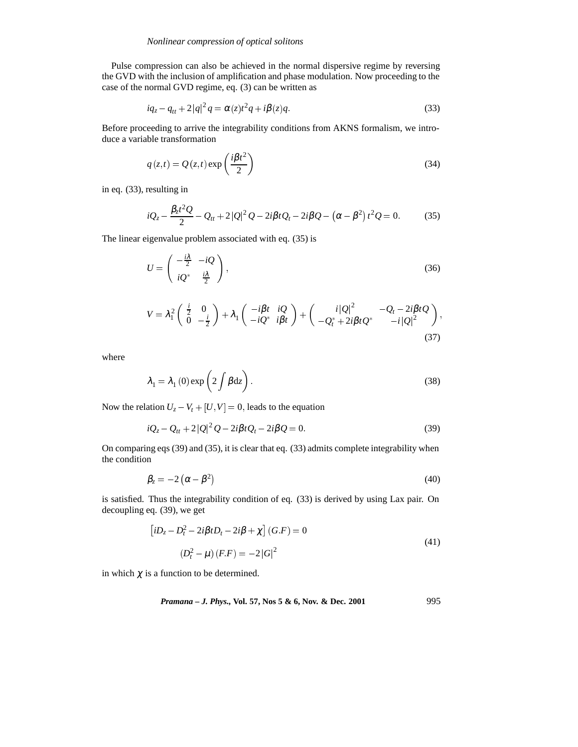Pulse compression can also be achieved in the normal dispersive regime by reversing the GVD with the inclusion of amplification and phase modulation. Now proceeding to the case of the normal GVD regime, eq. (3) can be written as

$$
iq_{z} - q_{tt} + 2|q|^{2} q = \alpha(z)t^{2} q + i\beta(z)q.
$$
 (33)

Before proceeding to arrive the integrability conditions from AKNS formalism, we introduce a variable transformation

$$
q(z,t) = Q(z,t) \exp\left(\frac{i\beta t^2}{2}\right)
$$
\n(34)

in eq. (33), resulting in

$$
iQ_z - \frac{\beta_z t^2 Q}{2} - Q_{tt} + 2|Q|^2 Q - 2i\beta t Q_t - 2i\beta Q - (\alpha - \beta^2) t^2 Q = 0.
$$
 (35)

The linear eigenvalue problem associated with eq. (35) is

$$
U = \begin{pmatrix} -\frac{i\lambda}{2} & -iQ \\ iQ^* & \frac{i\lambda}{2} \end{pmatrix},\tag{36}
$$

$$
V = \lambda_1^2 \begin{pmatrix} \frac{i}{2} & 0 \\ 0 & -\frac{i}{2} \end{pmatrix} + \lambda_1 \begin{pmatrix} -i\beta t & i\mathcal{Q} \\ -i\mathcal{Q}^* & i\beta t \end{pmatrix} + \begin{pmatrix} i|\mathcal{Q}|^2 & -\mathcal{Q}_t - 2i\beta t\mathcal{Q} \\ -\mathcal{Q}_t^* + 2i\beta t\mathcal{Q}^* & -i|\mathcal{Q}|^2 \end{pmatrix},
$$
\n(37)

where

$$
\lambda_1 = \lambda_1(0) \exp\left(2 \int \beta dz\right). \tag{38}
$$

Now the relation  $U_z - V_t + [U, V] = 0$ , leads to the equation

$$
iQ_z - Q_{tt} + 2|Q|^2 Q - 2i\beta t Q_t - 2i\beta Q = 0.
$$
\n(39)

On comparing eqs (39) and (35), it is clear that eq. (33) admits complete integrability when the condition

$$
\beta_z = -2\left(\alpha - \beta^2\right) \tag{40}
$$

is satisfied. Thus the integrability condition of eq. (33) is derived by using Lax pair. On decoupling eq. (39), we get

$$
\left[iD_z - D_t^2 - 2i\beta t D_t - 2i\beta + \chi\right](G.F) = 0
$$
\n
$$
(D_t^2 - \mu)(F.F) = -2|G|^2
$$
\n(41)

in which  $\chi$  is a function to be determined.

*Pramana – J. Phys.,* **Vol. 57, Nos 5 & 6, Nov. & Dec. 2001** 995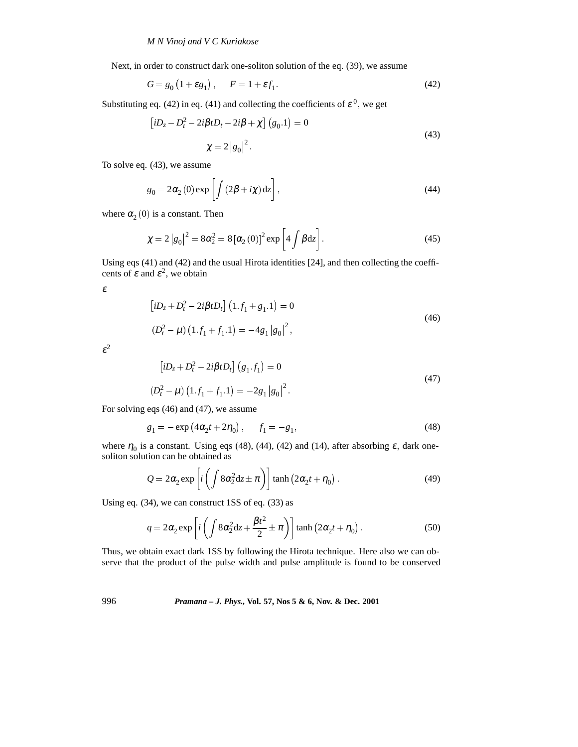Next, in order to construct dark one-soliton solution of the eq. (39), we assume

$$
G = g_0 \left( 1 + \varepsilon g_1 \right), \qquad F = 1 + \varepsilon f_1 \tag{42}
$$

Substituting eq. (42) in eq. (41) and collecting the coefficients of  $\varepsilon^0$ , we get

$$
\left[iD_z - D_t^2 - 2i\beta t D_t - 2i\beta + \chi\right](g_0.1) = 0
$$
  

$$
\chi = 2|g_0|^2.
$$
 (43)

To solve eq. (43), we assume

$$
g_0 = 2\alpha_2(0) \exp\left[\int (2\beta + i\chi) dz\right],
$$
\n(44)

where  $\alpha_2(0)$  is a constant. Then

$$
\chi = 2 |g_0|^2 = 8\alpha_2^2 = 8 [\alpha_2(0)]^2 \exp\left[4 \int \beta dz\right].
$$
 (45)

Using eqs (41) and (42) and the usual Hirota identities [24], and then collecting the coefficents of  $\varepsilon$  and  $\varepsilon^2$ , we obtain

ε

$$
[iD_z + D_t^2 - 2i\beta t D_t] (1.f_1 + g_1.1) = 0
$$
  

$$
(D_t^2 - \mu) (1.f_1 + f_1.1) = -4g_1 |g_0|^2,
$$
 (46)

 $\varepsilon^2$ 

$$
[iD_z + D_t^2 - 2i\beta t D_t] (g_1 \cdot f_1) = 0
$$
  

$$
(D_t^2 - \mu) (1 \cdot f_1 + f_1 \cdot 1) = -2g_1 |g_0|^2.
$$
 (47)

For solving eqs (46) and (47), we assume

$$
g_1 = -\exp\left(4\alpha_2 t + 2\eta_0\right), \qquad f_1 = -g_1,\tag{48}
$$

where  $\eta_0$  is a constant. Using eqs (48), (44), (42) and (14), after absorbing  $\varepsilon$ , dark onesoliton solution can be obtained as

$$
Q = 2\alpha_2 \exp\left[i\left(\int 8\alpha_2^2 dz \pm \pi\right)\right] \tanh\left(2\alpha_2 t + \eta_0\right). \tag{49}
$$

Using eq. (34), we can construct 1SS of eq. (33) as

$$
q = 2\alpha_2 \exp\left[i\left(\int 8\alpha_2^2 dz + \frac{\beta t^2}{2} \pm \pi\right)\right] \tanh\left(2\alpha_2 t + \eta_0\right). \tag{50}
$$

Thus, we obtain exact dark 1SS by following the Hirota technique. Here also we can observe that the product of the pulse width and pulse amplitude is found to be conserved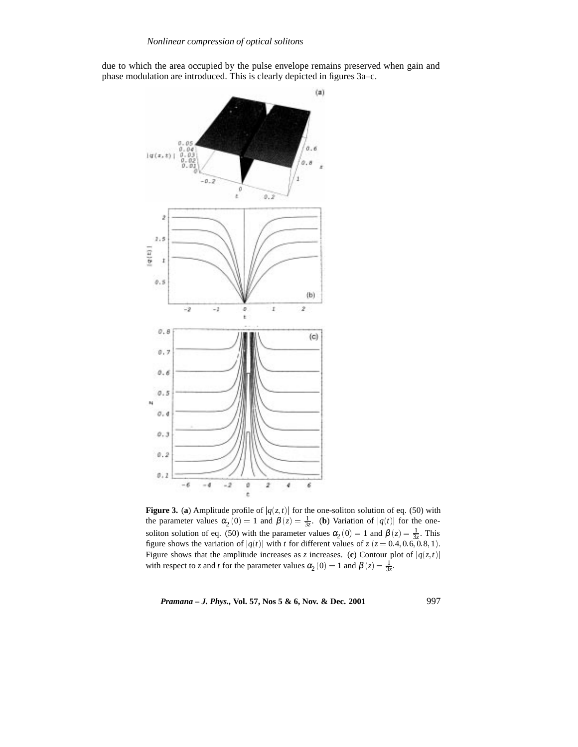due to which the area occupied by the pulse envelope remains preserved when gain and phase modulation are introduced. This is clearly depicted in figures 3a–c.



**Figure 3. (a)** Amplitude profile of  $|q(z,t)|$  for the one-soliton solution of eq. (50) with the parameter values  $\alpha_2(0) = 1$  and  $\beta(z) = \frac{1}{3z}$ . (**b**) Variation of  $|q(t)|$  for the onesoliton solution of eq. (50) with the parameter values  $\alpha_2(0) = 1$  and  $\beta(z) = \frac{1}{3z}$ . This figure shows the variation of  $|q(t)|$  with *t* for different values of  $z$  ( $z = 0.4, 0.6, 0.8, 1$ ). Figure shows that the amplitude increases as *z* increases. (c) Contour plot of  $|q(z,t)|$ with respect to *z* and *t* for the parameter values  $\alpha_2(0) = 1$  and  $\beta(z) = \frac{1}{3z}$ .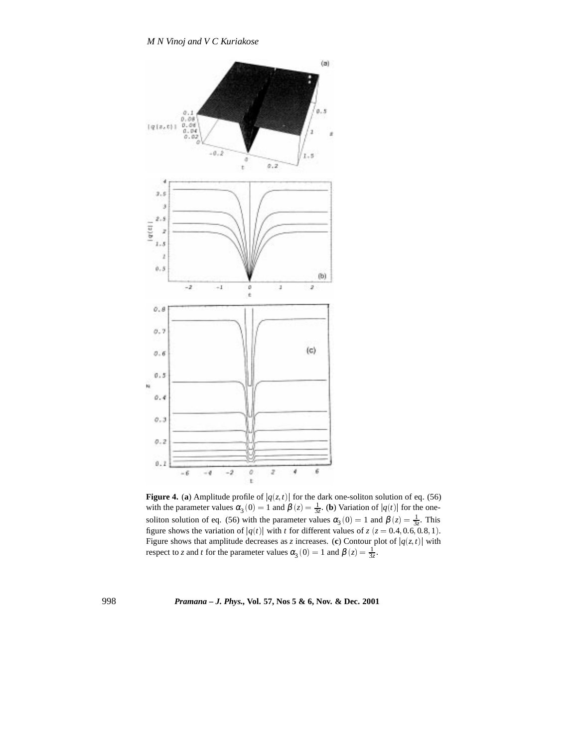

**Figure 4.** (a) Amplitude profile of  $|q(z,t)|$  for the dark one-soliton solution of eq. (56) with the parameter values  $\alpha_3(0) = 1$  and  $\beta(z) = \frac{1}{3z}$ . (**b**) Variation of  $|q(t)|$  for the onesoliton solution of eq. (56) with the parameter values  $\alpha_3(0) = 1$  and  $\beta(z) = \frac{1}{3z}$ . This figure shows the variation of  $|q(t)|$  with *t* for different values of  $z$  ( $z = 0.4, 0.6, 0.8, 1$ ). Figure shows that amplitude decreases as *z* increases. (c) Contour plot of  $|q(z,t)|$  with respect to *z* and *t* for the parameter values  $\alpha_3(0) = 1$  and  $\beta(z) = \frac{1}{3z}$ .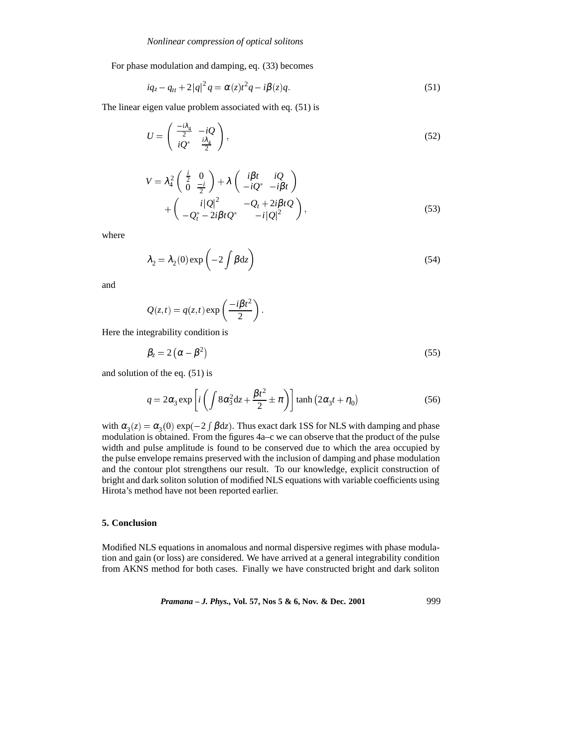For phase modulation and damping, eq. (33) becomes

$$
iq_{z} - q_{tt} + 2|q|^{2} q = \alpha(z)t^{2} q - i\beta(z) q.
$$
 (51)

The linear eigen value problem associated with eq. (51) is

$$
U = \begin{pmatrix} \frac{-i\lambda_4}{2} & -iQ \\ iQ^* & \frac{i\lambda_4}{2} \end{pmatrix},\tag{52}
$$

$$
V = \lambda_4^2 \begin{pmatrix} \frac{i}{2} & 0 \\ 0 & \frac{-i}{2} \end{pmatrix} + \lambda \begin{pmatrix} i\beta t & iQ \\ -iQ^* & -i\beta t \end{pmatrix}
$$
  
+ 
$$
\begin{pmatrix} i|Q|^2 & -Q_t + 2i\beta tQ \\ -Q_t^* - 2i\beta tQ^* & -i|Q|^2 \end{pmatrix},
$$
(53)

where

$$
\lambda_2 = \lambda_2(0) \exp\left(-2 \int \beta dz\right) \tag{54}
$$

and

$$
Q(z,t) = q(z,t) \exp\left(\frac{-i\beta t^2}{2}\right).
$$

Here the integrability condition is

$$
\beta_z = 2\left(\alpha - \beta^2\right) \tag{55}
$$

and solution of the eq. (51) is

$$
q = 2\alpha_3 \exp\left[i\left(\int 8\alpha_3^2 \mathrm{d}z + \frac{\beta t^2}{2} \pm \pi\right)\right] \tanh\left(2\alpha_3 t + \eta_0\right) \tag{56}
$$

with  $\alpha_3(z) = \alpha_3(0) \exp(-2 \int \beta dz)$ . Thus exact dark 1SS for NLS with damping and phase modulation is obtained. From the figures 4a–c we can observe that the product of the pulse width and pulse amplitude is found to be conserved due to which the area occupied by the pulse envelope remains preserved with the inclusion of damping and phase modulation and the contour plot strengthens our result. To our knowledge, explicit construction of bright and dark soliton solution of modified NLS equations with variable coefficients using Hirota's method have not been reported earlier.

## **5. Conclusion**

Modified NLS equations in anomalous and normal dispersive regimes with phase modulation and gain (or loss) are considered. We have arrived at a general integrability condition from AKNS method for both cases. Finally we have constructed bright and dark soliton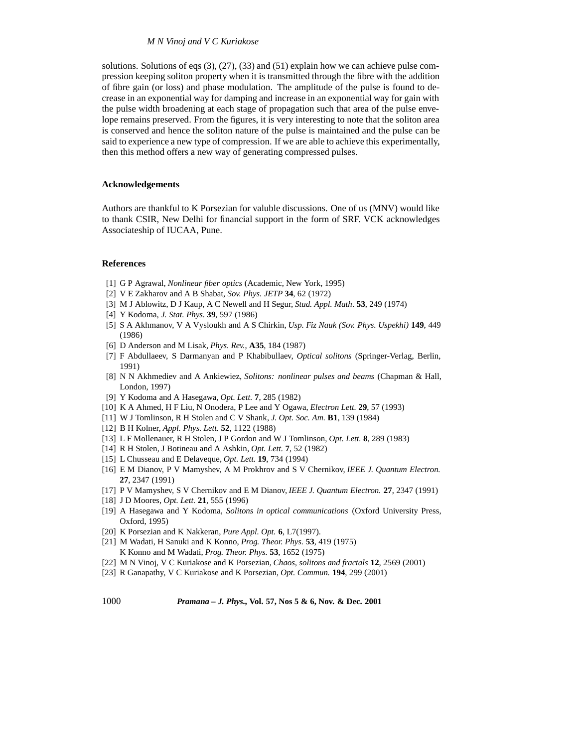### *M N Vinoj and V C Kuriakose*

solutions. Solutions of eqs (3), (27), (33) and (51) explain how we can achieve pulse compression keeping soliton property when it is transmitted through the fibre with the addition of fibre gain (or loss) and phase modulation. The amplitude of the pulse is found to decrease in an exponential way for damping and increase in an exponential way for gain with the pulse width broadening at each stage of propagation such that area of the pulse envelope remains preserved. From the figures, it is very interesting to note that the soliton area is conserved and hence the soliton nature of the pulse is maintained and the pulse can be said to experience a new type of compression. If we are able to achieve this experimentally, then this method offers a new way of generating compressed pulses.

### **Acknowledgements**

Authors are thankful to K Porsezian for valuble discussions. One of us (MNV) would like to thank CSIR, New Delhi for financial support in the form of SRF. VCK acknowledges Associateship of IUCAA, Pune.

### **References**

- [1] G P Agrawal, *Nonlinear fiber optics* (Academic, New York, 1995)
- [2] V E Zakharov and A B Shabat, *Sov. Phys. JETP* **34**, 62 (1972)
- [3] M J Ablowitz, D J Kaup, A C Newell and H Segur, *Stud. Appl. Math*. **53**, 249 (1974)
- [4] Y Kodoma, *J. Stat. Phys.* **39**, 597 (1986)
- [5] S A Akhmanov, V A Vysloukh and A S Chirkin, *Usp. Fiz Nauk (Sov. Phys. Uspekhi)* **149**, 449 (1986)
- [6] D Anderson and M Lisak, *Phys. Rev.*, **A35**, 184 (1987)
- [7] F Abdullaeev, S Darmanyan and P Khabibullaev, *Optical solitons* (Springer-Verlag, Berlin, 1991)
- [8] N N Akhmediev and A Ankiewiez, *Solitons: nonlinear pulses and beams* (Chapman & Hall, London, 1997)
- [9] Y Kodoma and A Hasegawa, *Opt. Lett.* **7**, 285 (1982)
- [10] K A Ahmed, H F Liu, N Onodera, P Lee and Y Ogawa, *Electron Lett.* **29**, 57 (1993)
- [11] W J Tomlinson, R H Stolen and C V Shank, *J. Opt. Soc. Am.* **B1**, 139 (1984)
- [12] B H Kolner, *Appl. Phys. Lett.* **52**, 1122 (1988)
- [13] L F Mollenauer, R H Stolen, J P Gordon and W J Tomlinson, *Opt. Lett.* **8**, 289 (1983)
- [14] R H Stolen, J Botineau and A Ashkin, *Opt. Lett.* **7**, 52 (1982)
- [15] L Chusseau and E Delaveque, *Opt. Lett.* **19**, 734 (1994)
- [16] E M Dianov, P V Mamyshev, A M Prokhrov and S V Chernikov, *IEEE J. Quantum Electron.* **27**, 2347 (1991)
- [17] P V Mamyshev, S V Chernikov and E M Dianov, *IEEE J. Quantum Electron.* **27**, 2347 (1991)
- [18] J D Moores, *Opt. Lett.* **21**, 555 (1996)
- [19] A Hasegawa and Y Kodoma, *Solitons in optical communications* (Oxford University Press, Oxford, 1995)
- [20] K Porsezian and K Nakkeran, *Pure Appl. Opt.* **6**, L7(1997).
- [21] M Wadati, H Sanuki and K Konno, *Prog. Theor. Phys.* **53**, 419 (1975) K Konno and M Wadati, *Prog. Theor. Phys.* **53**, 1652 (1975)
- [22] M N Vinoj, V C Kuriakose and K Porsezian, *Chaos, solitons and fractals* **12**, 2569 (2001)
- [23] R Ganapathy, V C Kuriakose and K Porsezian, *Opt. Commun.* **194**, 299 (2001)